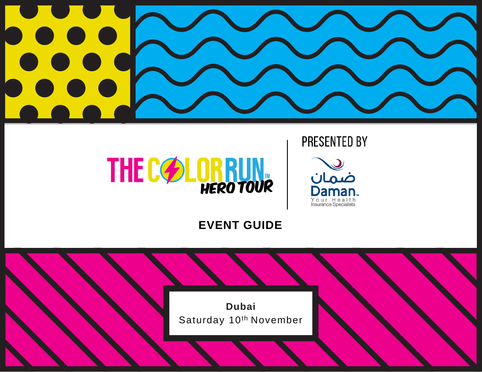

# **PRESENTED BY**



**1** #TCRHERO #HAPPIEST5K



## **EVENT GUIDE**

**Dubai** Saturday 10<sup>th</sup> November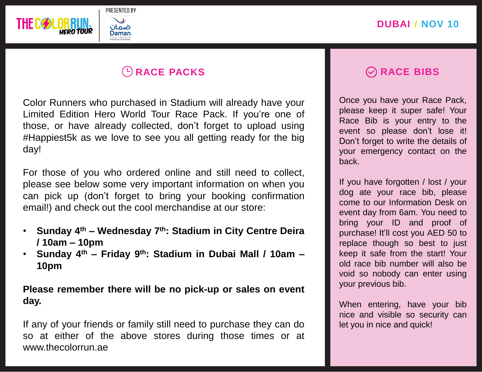

# **RACE PACKS**

Color Runners who purchased in Stadium will already have your Limited Edition Hero World Tour Race Pack. If you're one of those, or have already collected, don't forget to upload using #Happiest5k as we love to see you all getting ready for the big day!

For those of you who ordered online and still need to collect, please see below some very important information on when you can pick up (don't forget to bring your booking confirmation email!) and check out the cool merchandise at our store:

- **Sunday 4 th – Wednesday 7 th: Stadium in City Centre Deira / 10am – 10pm**
- **Sunday 4 th – Friday 9 th: Stadium in Dubai Mall / 10am – 10pm**

**Please remember there will be no pick-up or sales on event day.**

If any of your friends or family still need to purchase they can do so at either of the above stores during those times or at www.thecolorrun.ae

## **RACE BIBS**

Once you have your Race Pack, please keep it super safe! Your Race Bib is your entry to the event so please don't lose it! Don't forget to write the details of your emergency contact on the back.

If you have forgotten / lost / your dog ate your race bib, please come to our Information Desk on event day from 6am. You need to bring your ID and proof of purchase! It'll cost you AED 50 to replace though so best to just keep it safe from the start! Your old race bib number will also be void so nobody can enter using your previous bib.

When entering, have your bib nice and visible so security can let you in nice and quick!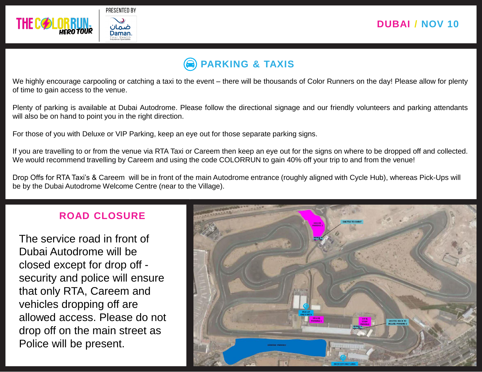

# **PARKING & TAXIS**

We highly encourage carpooling or catching a taxi to the event – there will be thousands of Color Runners on the day! Please allow for plenty of time to gain access to the venue.

Plenty of parking is available at Dubai Autodrome. Please follow the directional signage and our friendly volunteers and parking attendants will also be on hand to point you in the right direction.

For those of you with Deluxe or VIP Parking, keep an eye out for those separate parking signs.

If you are travelling to or from the venue via RTA Taxi or Careem then keep an eye out for the signs on where to be dropped off and collected. We would recommend travelling by Careem and using the code COLORRUN to gain 40% off your trip to and from the venue!

Drop Offs for RTA Taxi's & Careem will be in front of the main Autodrome entrance (roughly aligned with Cycle Hub), whereas Pick-Ups will be by the Dubai Autodrome Welcome Centre (near to the Village).

## **ROAD CLOSURE**

The service road in front of Dubai Autodrome will be closed except for drop off security and police will ensure that only RTA, Careem and vehicles dropping off are allowed access. Please do not drop off on the main street as Police will be present.

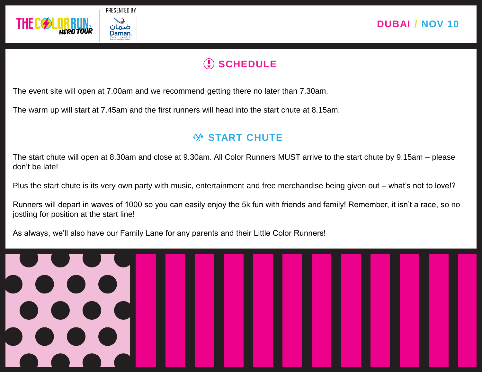

# **SCHEDULE**

The event site will open at 7.00am and we recommend getting there no later than 7.30am.

The warm up will start at 7.45am and the first runners will head into the start chute at 8.15am.

## **START CHUTE**

The start chute will open at 8.30am and close at 9.30am. All Color Runners MUST arrive to the start chute by 9.15am – please don't be late!

Plus the start chute is its very own party with music, entertainment and free merchandise being given out – what's not to love!?

Runners will depart in waves of 1000 so you can easily enjoy the 5k fun with friends and family! Remember, it isn't a race, so no jostling for position at the start line!

As always, we'll also have our Family Lane for any parents and their Little Color Runners!

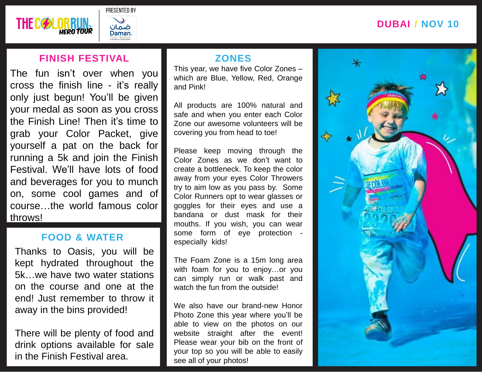## **DUBAI** / **NOV 10**



## **FINISH FESTIVAL**

The fun isn't over when you cross the finish line - it's really only just begun! You'll be given your medal as soon as you cross the Finish Line! Then it's time to grab your Color Packet, give yourself a pat on the back for running a 5k and join the Finish Festival. We'll have lots of food and beverages for you to munch on, some cool games and of course…the world famous color throws!

#### **FOOD & WATER**

Thanks to Oasis, you will be kept hydrated throughout the 5k…we have two water stations on the course and one at the end! Just remember to throw it away in the bins provided!

in the Finish Festival area. There will be plenty of food and drink options available for sale

## **ZONES**

This year, we have five Color Zones – which are Blue, Yellow, Red, Orange and Pink!

All products are 100% natural and safe and when you enter each Color Zone our awesome volunteers will be covering you from head to toe!

Please keep moving through the Color Zones as we don't want to create a bottleneck. To keep the color away from your eyes Color Throwers try to aim low as you pass by. Some Color Runners opt to wear glasses or goggles for their eyes and use a bandana or dust mask for their mouths. If you wish, you can wear some form of eye protection especially kids!

The Foam Zone is a 15m long area with foam for you to enjoy…or you can simply run or walk past and watch the fun from the outside!

We also have our brand-new Honor Photo Zone this year where you'll be able to view on the photos on our website straight after the event! Please wear your bib on the front of your top so you will be able to easily see all of your photos!

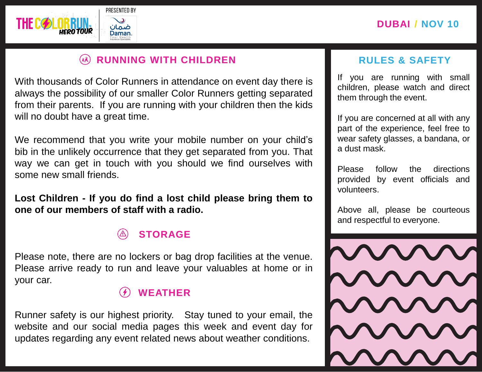



#### **RUNNING WITH CHILDREN**   $(xk)$

With thousands of Color Runners in attendance on event day there is always the possibility of our smaller Color Runners getting separated from their parents. If you are running with your children then the kids will no doubt have a great time.

We recommend that you write your mobile number on your child's bib in the unlikely occurrence that they get separated from you. That way we can get in touch with you should we find ourselves with some new small friends.

**Lost Children - If you do find a lost child please bring them to one of our members of staff with a radio.**

# **STORAGE**

Please note, there are no lockers or bag drop facilities at the venue. Please arrive ready to run and leave your valuables at home or in your car.

## **WEATHER**

Runner safety is our highest priority. Stay tuned to your email, the website and our social media pages this week and event day for updates regarding any event related news about weather conditions.

## **RULES & SAFETY**

If you are running with small children, please watch and direct them through the event.

If you are concerned at all with any part of the experience, feel free to wear safety glasses, a bandana, or a dust mask.

Please follow the directions provided by event officials and volunteers.

Above all, please be courteous and respectful to everyone.

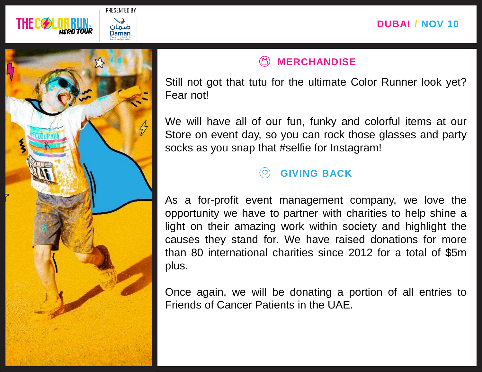



# **MERCHANDISE**

Still not got that tutu for the ultimate Color Runner look yet? Fear not!

We will have all of our fun, funky and colorful items at our Store on event day, so you can rock those glasses and party socks as you snap that #selfie for Instagram!

# **GIVING BACK**

As a for-profit event management company, we love the opportunity we have to partner with charities to help shine a light on their amazing work within society and highlight the causes they stand for. We have raised donations for more than 80 international charities since 2012 for a total of \$5m plus.

Once again, we will be donating a portion of all entries to Friends of Cancer Patients in the UAE.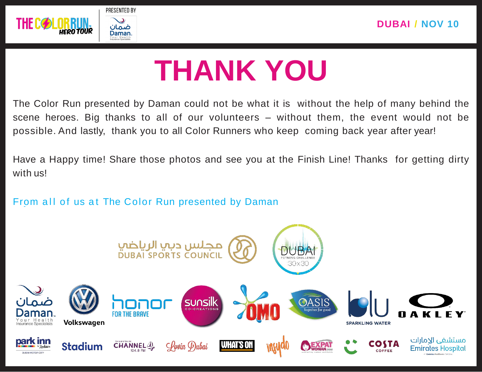

# **THANK YOU**

The Color Run presented by Daman could not be what it is without the help of many behind the scene heroes. Big thanks to all of our volunteers – without them, the event would not be possible. And lastly, thank you to all Color Runners who keep coming back year after year!

Have a Happy time! Share those photos and see you at the Finish Line! Thanks for getting dirty with us!

From all of us at The Color Run presented by Daman